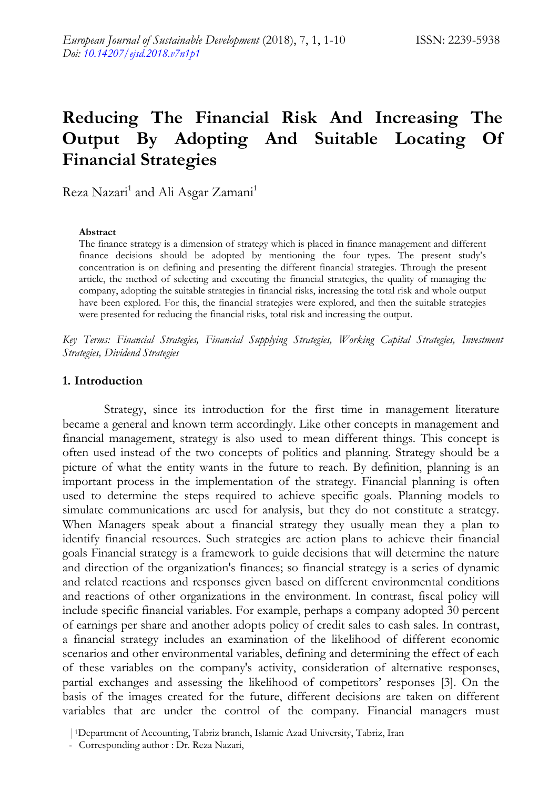# **Reducing The Financial Risk And Increasing The Output By Adopting And Suitable Locating Of Financial Strategies**

Reza Nazari<sup>1</sup> and Ali Asgar Zamani<sup>1</sup>

#### **Abstract**

The finance strategy is a dimension of strategy which is placed in finance management and different finance decisions should be adopted by mentioning the four types. The present study's concentration is on defining and presenting the different financial strategies. Through the present article, the method of selecting and executing the financial strategies, the quality of managing the company, adopting the suitable strategies in financial risks, increasing the total risk and whole output have been explored. For this, the financial strategies were explored, and then the suitable strategies were presented for reducing the financial risks, total risk and increasing the output.

*Key Terms: Financial Strategies, Financial Supplying Strategies, Working Capital Strategies, Investment Strategies, Dividend Strategies* 

#### **1. Introduction**

Strategy, since its introduction for the first time in management literature became a general and known term accordingly. Like other concepts in management and financial management, strategy is also used to mean different things. This concept is often used instead of the two concepts of politics and planning. Strategy should be a picture of what the entity wants in the future to reach. By definition, planning is an important process in the implementation of the strategy. Financial planning is often used to determine the steps required to achieve specific goals. Planning models to simulate communications are used for analysis, but they do not constitute a strategy. When Managers speak about a financial strategy they usually mean they a plan to identify financial resources. Such strategies are action plans to achieve their financial goals Financial strategy is a framework to guide decisions that will determine the nature and direction of the organization's finances; so financial strategy is a series of dynamic and related reactions and responses given based on different environmental conditions and reactions of other organizations in the environment. In contrast, fiscal policy will include specific financial variables. For example, perhaps a company adopted 30 percent of earnings per share and another adopts policy of credit sales to cash sales. In contrast, a financial strategy includes an examination of the likelihood of different economic scenarios and other environmental variables, defining and determining the effect of each of these variables on the company's activity, consideration of alternative responses, partial exchanges and assessing the likelihood of competitors' responses [3]. On the basis of the images created for the future, different decisions are taken on different variables that are under the control of the company. Financial managers must

<sup>|</sup>1Department of Accounting, Tabriz branch, Islamic Azad University, Tabriz, Iran

<sup>-</sup> Corresponding author : Dr. Reza Nazari,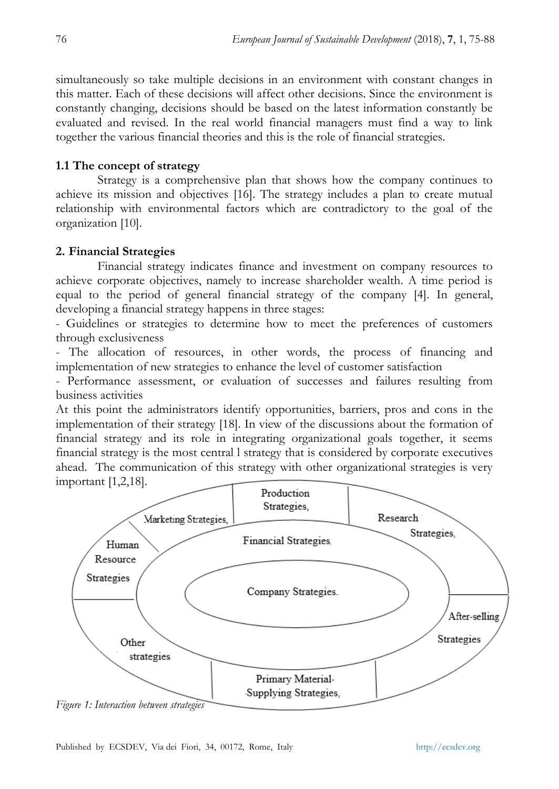simultaneously so take multiple decisions in an environment with constant changes in this matter. Each of these decisions will affect other decisions. Since the environment is constantly changing, decisions should be based on the latest information constantly be evaluated and revised. In the real world financial managers must find a way to link together the various financial theories and this is the role of financial strategies.

#### **1.1 The concept of strategy**

Strategy is a comprehensive plan that shows how the company continues to achieve its mission and objectives [16]. The strategy includes a plan to create mutual relationship with environmental factors which are contradictory to the goal of the organization [10].

#### **2. Financial Strategies**

Financial strategy indicates finance and investment on company resources to achieve corporate objectives, namely to increase shareholder wealth. A time period is equal to the period of general financial strategy of the company [4]. In general, developing a financial strategy happens in three stages:

- Guidelines or strategies to determine how to meet the preferences of customers through exclusiveness

- The allocation of resources, in other words, the process of financing and implementation of new strategies to enhance the level of customer satisfaction

- Performance assessment, or evaluation of successes and failures resulting from business activities

At this point the administrators identify opportunities, barriers, pros and cons in the implementation of their strategy [18]. In view of the discussions about the formation of financial strategy and its role in integrating organizational goals together, it seems financial strategy is the most central l strategy that is considered by corporate executives ahead. The communication of this strategy with other organizational strategies is very important [1,2,18].



*Figure 1: Interaction between strategies*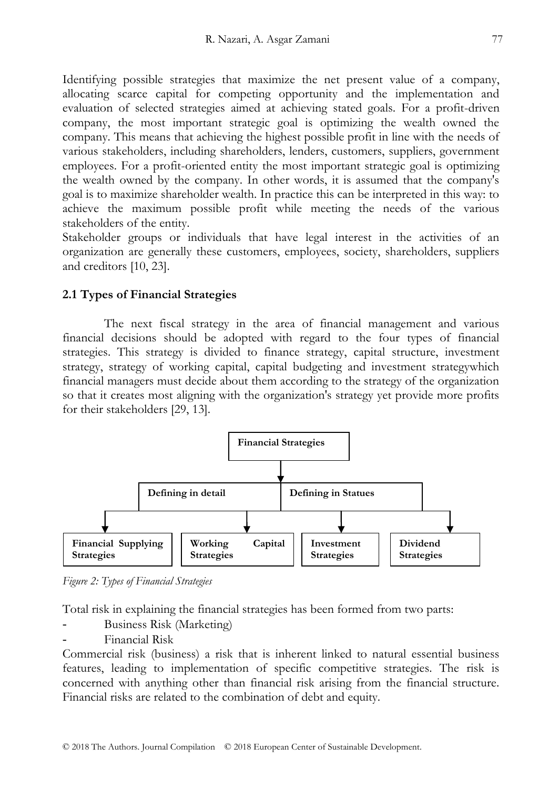Identifying possible strategies that maximize the net present value of a company, allocating scarce capital for competing opportunity and the implementation and evaluation of selected strategies aimed at achieving stated goals. For a profit-driven company, the most important strategic goal is optimizing the wealth owned the company. This means that achieving the highest possible profit in line with the needs of various stakeholders, including shareholders, lenders, customers, suppliers, government employees. For a profit-oriented entity the most important strategic goal is optimizing the wealth owned by the company. In other words, it is assumed that the company's goal is to maximize shareholder wealth. In practice this can be interpreted in this way: to achieve the maximum possible profit while meeting the needs of the various stakeholders of the entity.

Stakeholder groups or individuals that have legal interest in the activities of an organization are generally these customers, employees, society, shareholders, suppliers and creditors [10, 23].

#### **2.1 Types of Financial Strategies**

The next fiscal strategy in the area of financial management and various financial decisions should be adopted with regard to the four types of financial strategies. This strategy is divided to finance strategy, capital structure, investment strategy, strategy of working capital, capital budgeting and investment strategywhich financial managers must decide about them according to the strategy of the organization so that it creates most aligning with the organization's strategy yet provide more profits for their stakeholders [29, 13].



*Figure 2: Types of Financial Strategies* 

Total risk in explaining the financial strategies has been formed from two parts:

- Business Risk (Marketing)
- Financial Risk

Commercial risk (business) a risk that is inherent linked to natural essential business features, leading to implementation of specific competitive strategies. The risk is concerned with anything other than financial risk arising from the financial structure. Financial risks are related to the combination of debt and equity.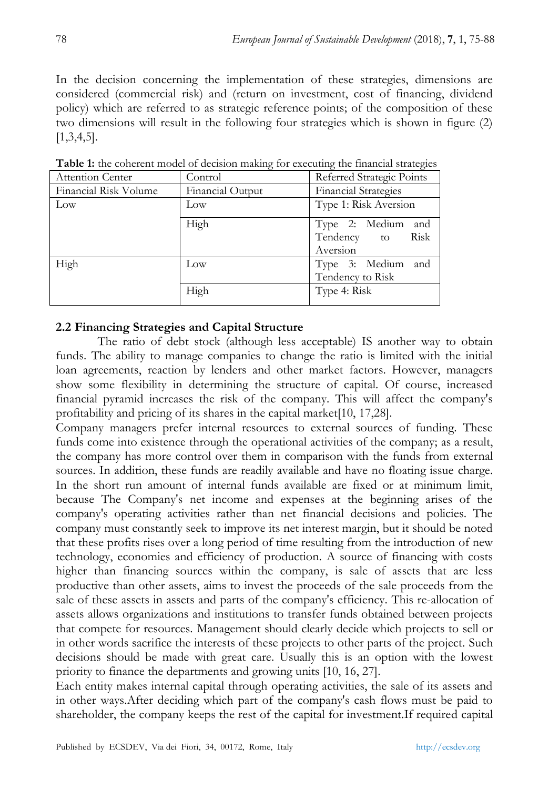In the decision concerning the implementation of these strategies, dimensions are considered (commercial risk) and (return on investment, cost of financing, dividend policy) which are referred to as strategic reference points; of the composition of these two dimensions will result in the following four strategies which is shown in figure (2) [1,3,4,5].

| Attention Center      | Control          | Referred Strategic Points                          |  |  |  |  |
|-----------------------|------------------|----------------------------------------------------|--|--|--|--|
| Financial Risk Volume | Financial Output | Financial Strategies                               |  |  |  |  |
| Low                   | Low              | Type 1: Risk Aversion                              |  |  |  |  |
|                       | High             | Type 2: Medium and<br>Tendency to Risk<br>Aversion |  |  |  |  |
| High                  | Low              | Type 3: Medium and<br>Tendency to Risk             |  |  |  |  |
|                       | High             | Type 4: Risk                                       |  |  |  |  |

**Table 1:** the coherent model of decision making for executing the financial strategies

## **2.2 Financing Strategies and Capital Structure**

The ratio of debt stock (although less acceptable) IS another way to obtain funds. The ability to manage companies to change the ratio is limited with the initial loan agreements, reaction by lenders and other market factors. However, managers show some flexibility in determining the structure of capital. Of course, increased financial pyramid increases the risk of the company. This will affect the company's profitability and pricing of its shares in the capital market[10, 17,28].

Company managers prefer internal resources to external sources of funding. These funds come into existence through the operational activities of the company; as a result, the company has more control over them in comparison with the funds from external sources. In addition, these funds are readily available and have no floating issue charge. In the short run amount of internal funds available are fixed or at minimum limit, because The Company's net income and expenses at the beginning arises of the company's operating activities rather than net financial decisions and policies. The company must constantly seek to improve its net interest margin, but it should be noted that these profits rises over a long period of time resulting from the introduction of new technology, economies and efficiency of production. A source of financing with costs higher than financing sources within the company, is sale of assets that are less productive than other assets, aims to invest the proceeds of the sale proceeds from the sale of these assets in assets and parts of the company's efficiency. This re-allocation of assets allows organizations and institutions to transfer funds obtained between projects that compete for resources. Management should clearly decide which projects to sell or in other words sacrifice the interests of these projects to other parts of the project. Such decisions should be made with great care. Usually this is an option with the lowest priority to finance the departments and growing units [10, 16, 27].

Each entity makes internal capital through operating activities, the sale of its assets and in other ways.After deciding which part of the company's cash flows must be paid to shareholder, the company keeps the rest of the capital for investment.If required capital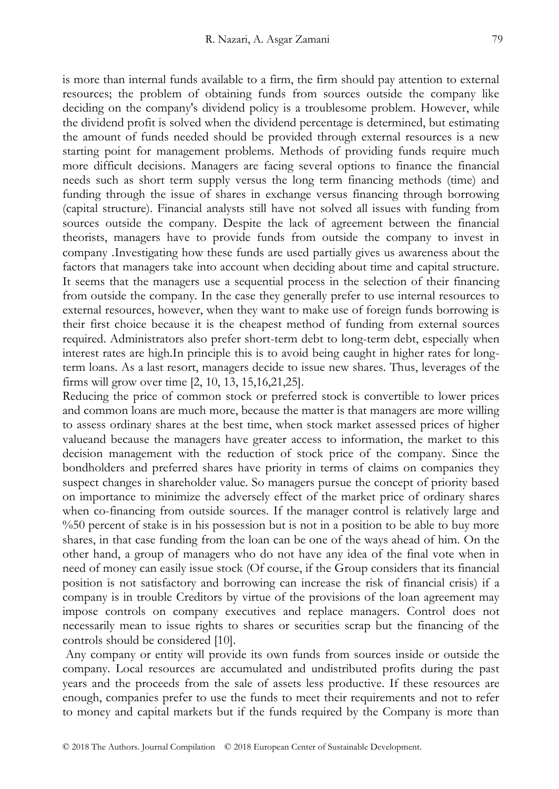is more than internal funds available to a firm, the firm should pay attention to external resources; the problem of obtaining funds from sources outside the company like deciding on the company's dividend policy is a troublesome problem. However, while the dividend profit is solved when the dividend percentage is determined, but estimating the amount of funds needed should be provided through external resources is a new starting point for management problems. Methods of providing funds require much more difficult decisions. Managers are facing several options to finance the financial needs such as short term supply versus the long term financing methods (time) and funding through the issue of shares in exchange versus financing through borrowing (capital structure). Financial analysts still have not solved all issues with funding from sources outside the company. Despite the lack of agreement between the financial theorists, managers have to provide funds from outside the company to invest in company .Investigating how these funds are used partially gives us awareness about the factors that managers take into account when deciding about time and capital structure. It seems that the managers use a sequential process in the selection of their financing from outside the company. In the case they generally prefer to use internal resources to external resources, however, when they want to make use of foreign funds borrowing is their first choice because it is the cheapest method of funding from external sources required. Administrators also prefer short-term debt to long-term debt, especially when interest rates are high.In principle this is to avoid being caught in higher rates for longterm loans. As a last resort, managers decide to issue new shares. Thus, leverages of the firms will grow over time [2, 10, 13, 15,16,21,25].

Reducing the price of common stock or preferred stock is convertible to lower prices and common loans are much more, because the matter is that managers are more willing to assess ordinary shares at the best time, when stock market assessed prices of higher valueand because the managers have greater access to information, the market to this decision management with the reduction of stock price of the company. Since the bondholders and preferred shares have priority in terms of claims on companies they suspect changes in shareholder value. So managers pursue the concept of priority based on importance to minimize the adversely effect of the market price of ordinary shares when co-financing from outside sources. If the manager control is relatively large and %50 percent of stake is in his possession but is not in a position to be able to buy more shares, in that case funding from the loan can be one of the ways ahead of him. On the other hand, a group of managers who do not have any idea of the final vote when in need of money can easily issue stock (Of course, if the Group considers that its financial position is not satisfactory and borrowing can increase the risk of financial crisis) if a company is in trouble Creditors by virtue of the provisions of the loan agreement may impose controls on company executives and replace managers. Control does not necessarily mean to issue rights to shares or securities scrap but the financing of the controls should be considered [10].

Any company or entity will provide its own funds from sources inside or outside the company. Local resources are accumulated and undistributed profits during the past years and the proceeds from the sale of assets less productive. If these resources are enough, companies prefer to use the funds to meet their requirements and not to refer to money and capital markets but if the funds required by the Company is more than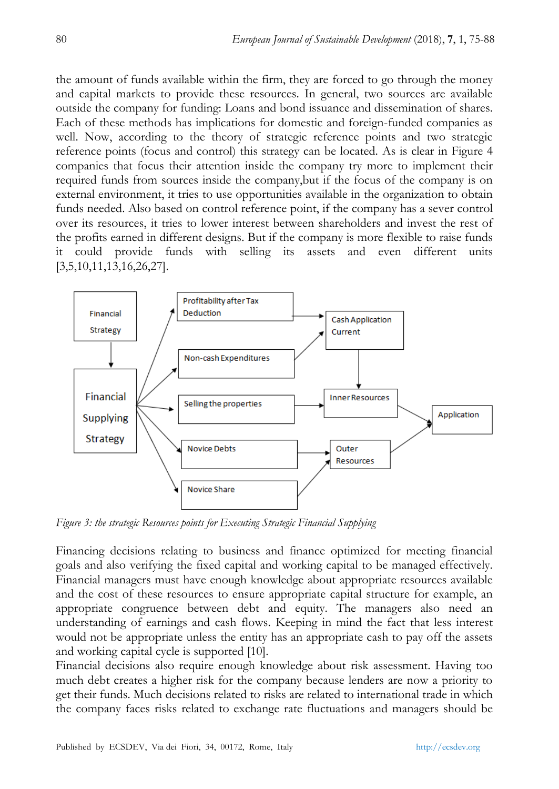the amount of funds available within the firm, they are forced to go through the money and capital markets to provide these resources. In general, two sources are available outside the company for funding: Loans and bond issuance and dissemination of shares. Each of these methods has implications for domestic and foreign-funded companies as well. Now, according to the theory of strategic reference points and two strategic reference points (focus and control) this strategy can be located. As is clear in Figure 4 companies that focus their attention inside the company try more to implement their required funds from sources inside the company,but if the focus of the company is on external environment, it tries to use opportunities available in the organization to obtain funds needed. Also based on control reference point, if the company has a sever control over its resources, it tries to lower interest between shareholders and invest the rest of the profits earned in different designs. But if the company is more flexible to raise funds it could provide funds with selling its assets and even different units [3,5,10,11,13,16,26,27].



*Figure 3: the strategic Resources points for Executing Strategic Financial Supplying* 

Financing decisions relating to business and finance optimized for meeting financial goals and also verifying the fixed capital and working capital to be managed effectively. Financial managers must have enough knowledge about appropriate resources available and the cost of these resources to ensure appropriate capital structure for example, an appropriate congruence between debt and equity. The managers also need an understanding of earnings and cash flows. Keeping in mind the fact that less interest would not be appropriate unless the entity has an appropriate cash to pay off the assets and working capital cycle is supported [10].

Financial decisions also require enough knowledge about risk assessment. Having too much debt creates a higher risk for the company because lenders are now a priority to get their funds. Much decisions related to risks are related to international trade in which the company faces risks related to exchange rate fluctuations and managers should be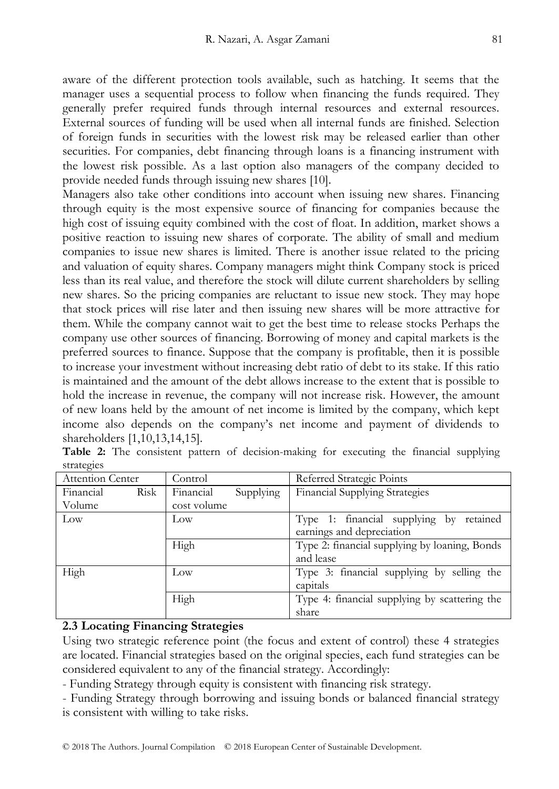aware of the different protection tools available, such as hatching. It seems that the manager uses a sequential process to follow when financing the funds required. They generally prefer required funds through internal resources and external resources. External sources of funding will be used when all internal funds are finished. Selection of foreign funds in securities with the lowest risk may be released earlier than other securities. For companies, debt financing through loans is a financing instrument with the lowest risk possible. As a last option also managers of the company decided to provide needed funds through issuing new shares [10].

Managers also take other conditions into account when issuing new shares. Financing through equity is the most expensive source of financing for companies because the high cost of issuing equity combined with the cost of float. In addition, market shows a positive reaction to issuing new shares of corporate. The ability of small and medium companies to issue new shares is limited. There is another issue related to the pricing and valuation of equity shares. Company managers might think Company stock is priced less than its real value, and therefore the stock will dilute current shareholders by selling new shares. So the pricing companies are reluctant to issue new stock. They may hope that stock prices will rise later and then issuing new shares will be more attractive for them. While the company cannot wait to get the best time to release stocks Perhaps the company use other sources of financing. Borrowing of money and capital markets is the preferred sources to finance. Suppose that the company is profitable, then it is possible to increase your investment without increasing debt ratio of debt to its stake. If this ratio is maintained and the amount of the debt allows increase to the extent that is possible to hold the increase in revenue, the company will not increase risk. However, the amount of new loans held by the amount of net income is limited by the company, which kept income also depends on the company's net income and payment of dividends to shareholders [1,10,13,14,15].

| Attention Center  | Control                | Referred Strategic Points                                               |
|-------------------|------------------------|-------------------------------------------------------------------------|
| Risk<br>Financial | Financial<br>Supplying | <b>Financial Supplying Strategies</b>                                   |
| Volume            | cost volume            |                                                                         |
| Low               | $_{\text{Low}}$        | Type 1: financial supplying by<br>retained<br>earnings and depreciation |
|                   |                        |                                                                         |
|                   | High                   | Type 2: financial supplying by loaning, Bonds                           |
|                   |                        | and lease                                                               |
| High              | Low                    | Type 3: financial supplying by selling the                              |
|                   |                        | capitals                                                                |
|                   | High                   | Type 4: financial supplying by scattering the                           |
|                   |                        | share                                                                   |

**Table 2:** The consistent pattern of decision-making for executing the financial supplying strategies

#### **2.3 Locating Financing Strategies**

Using two strategic reference point (the focus and extent of control) these 4 strategies are located. Financial strategies based on the original species, each fund strategies can be considered equivalent to any of the financial strategy. Accordingly:

- Funding Strategy through equity is consistent with financing risk strategy.

- Funding Strategy through borrowing and issuing bonds or balanced financial strategy is consistent with willing to take risks.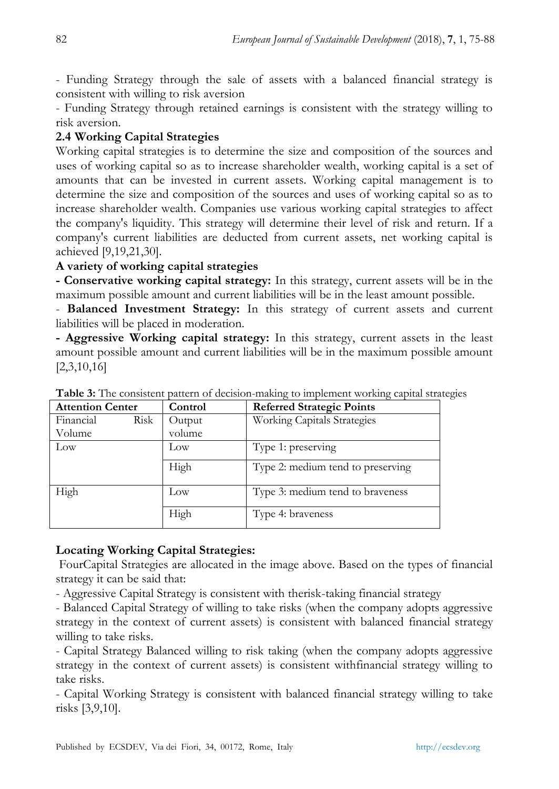- Funding Strategy through the sale of assets with a balanced financial strategy is consistent with willing to risk aversion

- Funding Strategy through retained earnings is consistent with the strategy willing to risk aversion.

# **2.4 Working Capital Strategies**

Working capital strategies is to determine the size and composition of the sources and uses of working capital so as to increase shareholder wealth, working capital is a set of amounts that can be invested in current assets. Working capital management is to determine the size and composition of the sources and uses of working capital so as to increase shareholder wealth. Companies use various working capital strategies to affect the company's liquidity. This strategy will determine their level of risk and return. If a company's current liabilities are deducted from current assets, net working capital is achieved [9,19,21,30].

## **A variety of working capital strategies**

**- Conservative working capital strategy:** In this strategy, current assets will be in the maximum possible amount and current liabilities will be in the least amount possible.

- **Balanced Investment Strategy:** In this strategy of current assets and current liabilities will be placed in moderation.

**- Aggressive Working capital strategy:** In this strategy, current assets in the least amount possible amount and current liabilities will be in the maximum possible amount [2,3,10,16]

| <b>Attention Center</b> |      | Control | <b>Referred Strategic Points</b>  |
|-------------------------|------|---------|-----------------------------------|
| Financial               | Risk | Output  | Working Capitals Strategies       |
| Volume                  |      | volume  |                                   |
| Low                     |      | Low     | Type 1: preserving                |
|                         |      | High    | Type 2: medium tend to preserving |
| High                    |      | Low     | Type 3: medium tend to braveness  |
|                         |      | High    | Type 4: braveness                 |

**Table 3:** The consistent pattern of decision-making to implement working capital strategies

# **Locating Working Capital Strategies:**

FourCapital Strategies are allocated in the image above. Based on the types of financial strategy it can be said that:

- Aggressive Capital Strategy is consistent with therisk-taking financial strategy

- Balanced Capital Strategy of willing to take risks (when the company adopts aggressive strategy in the context of current assets) is consistent with balanced financial strategy willing to take risks.

- Capital Strategy Balanced willing to risk taking (when the company adopts aggressive strategy in the context of current assets) is consistent withfinancial strategy willing to take risks.

- Capital Working Strategy is consistent with balanced financial strategy willing to take risks [3,9,10].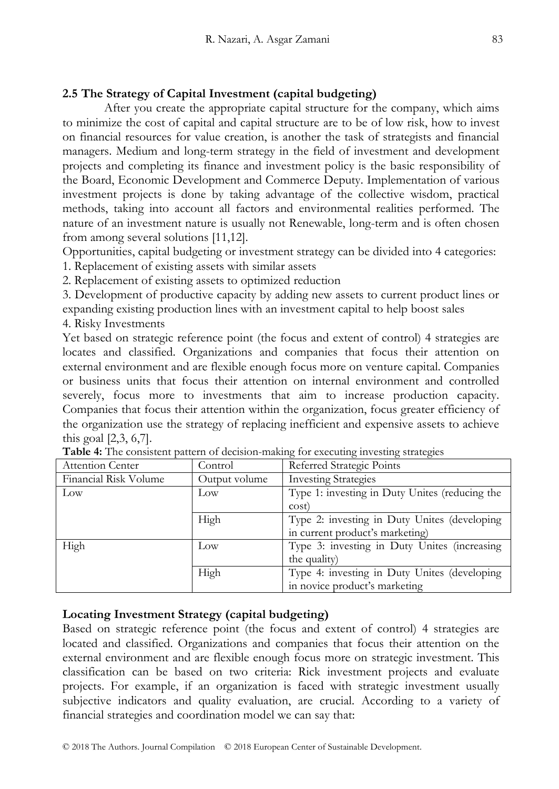## **2.5 The Strategy of Capital Investment (capital budgeting)**

After you create the appropriate capital structure for the company, which aims to minimize the cost of capital and capital structure are to be of low risk, how to invest on financial resources for value creation, is another the task of strategists and financial managers. Medium and long-term strategy in the field of investment and development projects and completing its finance and investment policy is the basic responsibility of the Board, Economic Development and Commerce Deputy. Implementation of various investment projects is done by taking advantage of the collective wisdom, practical methods, taking into account all factors and environmental realities performed. The nature of an investment nature is usually not Renewable, long-term and is often chosen from among several solutions [11,12].

Opportunities, capital budgeting or investment strategy can be divided into 4 categories:

1. Replacement of existing assets with similar assets

2. Replacement of existing assets to optimized reduction

3. Development of productive capacity by adding new assets to current product lines or expanding existing production lines with an investment capital to help boost sales

4. Risky Investments

Yet based on strategic reference point (the focus and extent of control) 4 strategies are locates and classified. Organizations and companies that focus their attention on external environment and are flexible enough focus more on venture capital. Companies or business units that focus their attention on internal environment and controlled severely, focus more to investments that aim to increase production capacity. Companies that focus their attention within the organization, focus greater efficiency of the organization use the strategy of replacing inefficient and expensive assets to achieve this goal [2,3, 6,7].

| Attention Center      | Control       | Referred Strategic Points                      |
|-----------------------|---------------|------------------------------------------------|
| Financial Risk Volume | Output volume | <b>Investing Strategies</b>                    |
| $_{\text{Low}}$       | Low           | Type 1: investing in Duty Unites (reducing the |
|                       |               | cost)                                          |
|                       | High          | Type 2: investing in Duty Unites (developing   |
|                       |               | in current product's marketing)                |
| High                  | Low           | Type 3: investing in Duty Unites (increasing   |
|                       |               | the quality)                                   |
|                       | High          | Type 4: investing in Duty Unites (developing   |
|                       |               | in novice product's marketing                  |

|  | Table 4: The consistent pattern of decision-making for executing investing strategies |  |  |  |  |  |
|--|---------------------------------------------------------------------------------------|--|--|--|--|--|
|  |                                                                                       |  |  |  |  |  |

## **Locating Investment Strategy (capital budgeting)**

Based on strategic reference point (the focus and extent of control) 4 strategies are located and classified. Organizations and companies that focus their attention on the external environment and are flexible enough focus more on strategic investment. This classification can be based on two criteria: Rick investment projects and evaluate projects. For example, if an organization is faced with strategic investment usually subjective indicators and quality evaluation, are crucial. According to a variety of financial strategies and coordination model we can say that: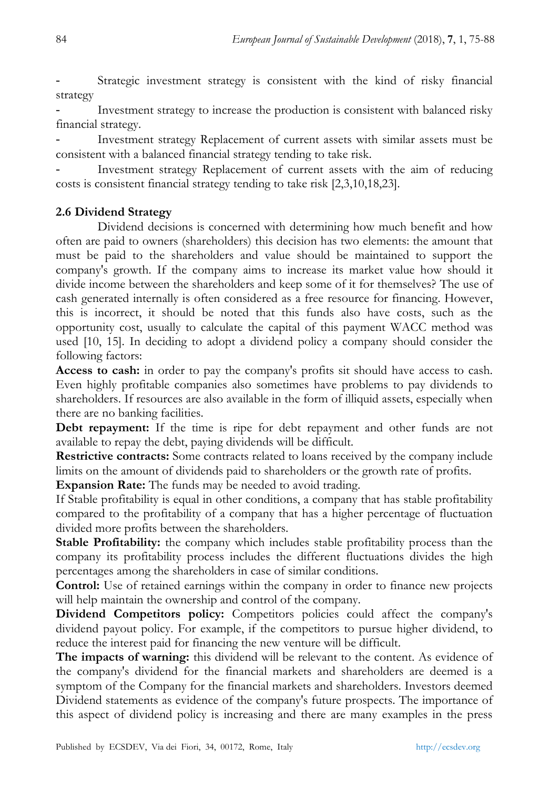Strategic investment strategy is consistent with the kind of risky financial strategy

Investment strategy to increase the production is consistent with balanced risky financial strategy.

Investment strategy Replacement of current assets with similar assets must be consistent with a balanced financial strategy tending to take risk.

Investment strategy Replacement of current assets with the aim of reducing costs is consistent financial strategy tending to take risk [2,3,10,18,23].

## **2.6 Dividend Strategy**

Dividend decisions is concerned with determining how much benefit and how often are paid to owners (shareholders) this decision has two elements: the amount that must be paid to the shareholders and value should be maintained to support the company's growth. If the company aims to increase its market value how should it divide income between the shareholders and keep some of it for themselves? The use of cash generated internally is often considered as a free resource for financing. However, this is incorrect, it should be noted that this funds also have costs, such as the opportunity cost, usually to calculate the capital of this payment WACC method was used [10, 15]. In deciding to adopt a dividend policy a company should consider the following factors:

**Access to cash:** in order to pay the company's profits sit should have access to cash. Even highly profitable companies also sometimes have problems to pay dividends to shareholders. If resources are also available in the form of illiquid assets, especially when there are no banking facilities.

**Debt repayment:** If the time is ripe for debt repayment and other funds are not available to repay the debt, paying dividends will be difficult.

**Restrictive contracts:** Some contracts related to loans received by the company include limits on the amount of dividends paid to shareholders or the growth rate of profits.

**Expansion Rate:** The funds may be needed to avoid trading.

If Stable profitability is equal in other conditions, a company that has stable profitability compared to the profitability of a company that has a higher percentage of fluctuation divided more profits between the shareholders.

**Stable Profitability:** the company which includes stable profitability process than the company its profitability process includes the different fluctuations divides the high percentages among the shareholders in case of similar conditions.

**Control:** Use of retained earnings within the company in order to finance new projects will help maintain the ownership and control of the company.

**Dividend Competitors policy:** Competitors policies could affect the company's dividend payout policy. For example, if the competitors to pursue higher dividend, to reduce the interest paid for financing the new venture will be difficult.

**The impacts of warning:** this dividend will be relevant to the content. As evidence of the company's dividend for the financial markets and shareholders are deemed is a symptom of the Company for the financial markets and shareholders. Investors deemed Dividend statements as evidence of the company's future prospects. The importance of this aspect of dividend policy is increasing and there are many examples in the press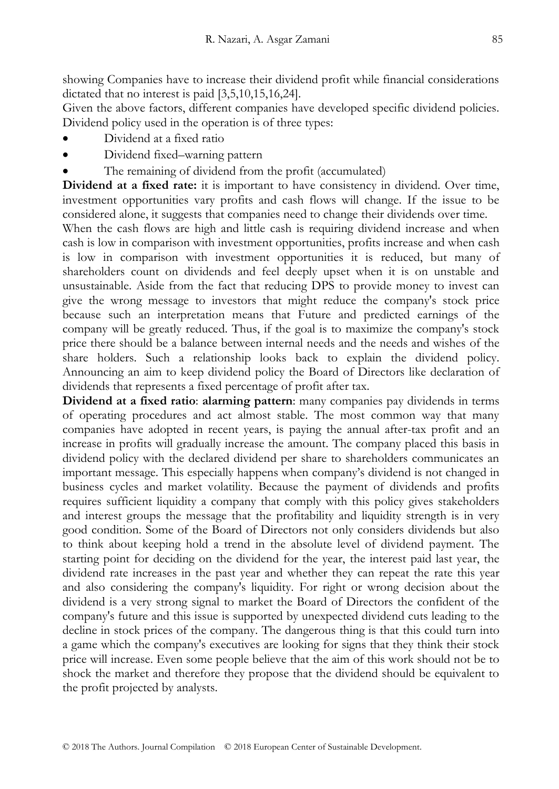showing Companies have to increase their dividend profit while financial considerations dictated that no interest is paid [3,5,10,15,16,24].

Given the above factors, different companies have developed specific dividend policies. Dividend policy used in the operation is of three types:

- Dividend at a fixed ratio
- Dividend fixed–warning pattern
- The remaining of dividend from the profit (accumulated)

**Dividend at a fixed rate:** it is important to have consistency in dividend. Over time, investment opportunities vary profits and cash flows will change. If the issue to be considered alone, it suggests that companies need to change their dividends over time.

When the cash flows are high and little cash is requiring dividend increase and when cash is low in comparison with investment opportunities, profits increase and when cash is low in comparison with investment opportunities it is reduced, but many of shareholders count on dividends and feel deeply upset when it is on unstable and unsustainable. Aside from the fact that reducing DPS to provide money to invest can give the wrong message to investors that might reduce the company's stock price because such an interpretation means that Future and predicted earnings of the company will be greatly reduced. Thus, if the goal is to maximize the company's stock price there should be a balance between internal needs and the needs and wishes of the share holders. Such a relationship looks back to explain the dividend policy. Announcing an aim to keep dividend policy the Board of Directors like declaration of dividends that represents a fixed percentage of profit after tax.

**Dividend at a fixed ratio**: **alarming pattern**: many companies pay dividends in terms of operating procedures and act almost stable. The most common way that many companies have adopted in recent years, is paying the annual after-tax profit and an increase in profits will gradually increase the amount. The company placed this basis in dividend policy with the declared dividend per share to shareholders communicates an important message. This especially happens when company's dividend is not changed in business cycles and market volatility. Because the payment of dividends and profits requires sufficient liquidity a company that comply with this policy gives stakeholders and interest groups the message that the profitability and liquidity strength is in very good condition. Some of the Board of Directors not only considers dividends but also to think about keeping hold a trend in the absolute level of dividend payment. The starting point for deciding on the dividend for the year, the interest paid last year, the dividend rate increases in the past year and whether they can repeat the rate this year and also considering the company's liquidity. For right or wrong decision about the dividend is a very strong signal to market the Board of Directors the confident of the company's future and this issue is supported by unexpected dividend cuts leading to the decline in stock prices of the company. The dangerous thing is that this could turn into a game which the company's executives are looking for signs that they think their stock price will increase. Even some people believe that the aim of this work should not be to shock the market and therefore they propose that the dividend should be equivalent to the profit projected by analysts.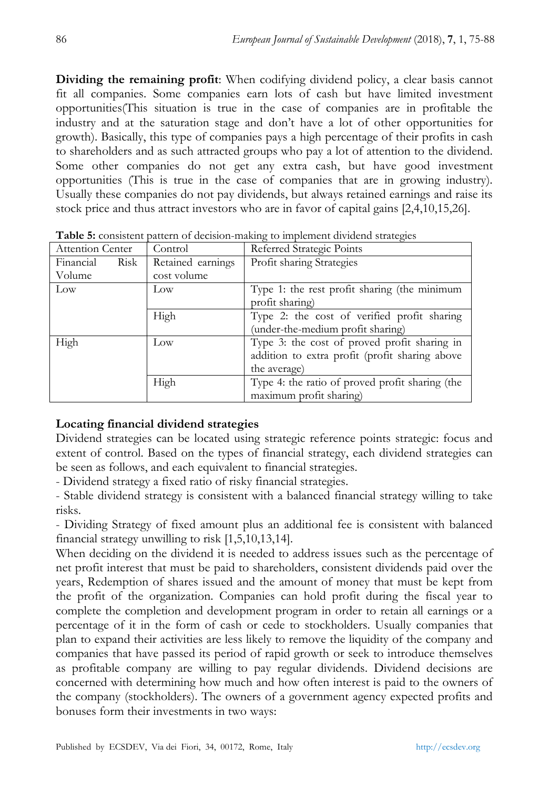**Dividing the remaining profit**: When codifying dividend policy, a clear basis cannot fit all companies. Some companies earn lots of cash but have limited investment opportunities(This situation is true in the case of companies are in profitable the industry and at the saturation stage and don't have a lot of other opportunities for growth). Basically, this type of companies pays a high percentage of their profits in cash to shareholders and as such attracted groups who pay a lot of attention to the dividend. Some other companies do not get any extra cash, but have good investment opportunities (This is true in the case of companies that are in growing industry). Usually these companies do not pay dividends, but always retained earnings and raise its stock price and thus attract investors who are in favor of capital gains [2,4,10,15,26].

| <b>Attention Center</b> | Control           | Referred Strategic Points                       |  |  |  |
|-------------------------|-------------------|-------------------------------------------------|--|--|--|
| Financial<br>Risk       | Retained earnings | Profit sharing Strategies                       |  |  |  |
| Volume                  | cost volume       |                                                 |  |  |  |
| Low                     | Low               | Type 1: the rest profit sharing (the minimum    |  |  |  |
|                         |                   | profit sharing)                                 |  |  |  |
|                         | High              | Type 2: the cost of verified profit sharing     |  |  |  |
|                         |                   | (under-the-medium profit sharing)               |  |  |  |
| High                    | $_{\text{Low}}$   | Type 3: the cost of proved profit sharing in    |  |  |  |
|                         |                   | addition to extra profit (profit sharing above  |  |  |  |
|                         |                   | the average)                                    |  |  |  |
|                         | High              | Type 4: the ratio of proved profit sharing (the |  |  |  |
|                         |                   | maximum profit sharing)                         |  |  |  |

**Table 5:** consistent pattern of decision-making to implement dividend strategies

# **Locating financial dividend strategies**

Dividend strategies can be located using strategic reference points strategic: focus and extent of control. Based on the types of financial strategy, each dividend strategies can be seen as follows, and each equivalent to financial strategies.

- Dividend strategy a fixed ratio of risky financial strategies.

- Stable dividend strategy is consistent with a balanced financial strategy willing to take risks.

- Dividing Strategy of fixed amount plus an additional fee is consistent with balanced financial strategy unwilling to risk [1,5,10,13,14].

When deciding on the dividend it is needed to address issues such as the percentage of net profit interest that must be paid to shareholders, consistent dividends paid over the years, Redemption of shares issued and the amount of money that must be kept from the profit of the organization. Companies can hold profit during the fiscal year to complete the completion and development program in order to retain all earnings or a percentage of it in the form of cash or cede to stockholders. Usually companies that plan to expand their activities are less likely to remove the liquidity of the company and companies that have passed its period of rapid growth or seek to introduce themselves as profitable company are willing to pay regular dividends. Dividend decisions are concerned with determining how much and how often interest is paid to the owners of the company (stockholders). The owners of a government agency expected profits and bonuses form their investments in two ways: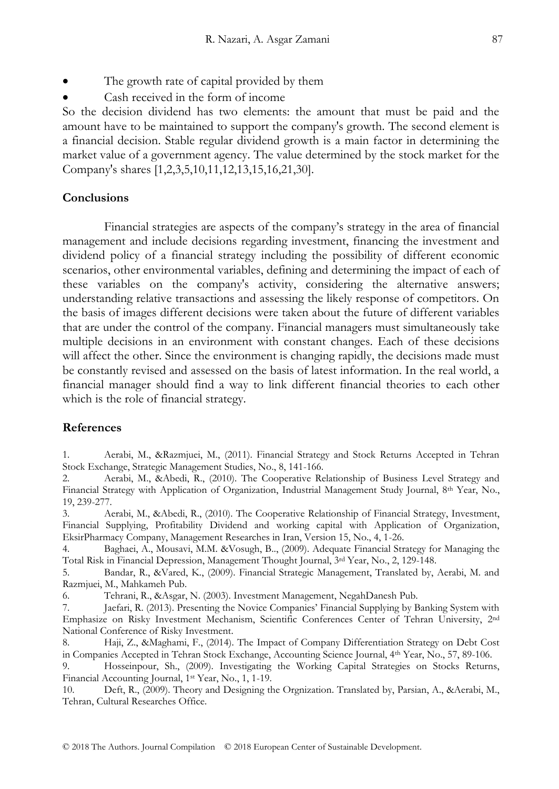- The growth rate of capital provided by them
- Cash received in the form of income

So the decision dividend has two elements: the amount that must be paid and the amount have to be maintained to support the company's growth. The second element is a financial decision. Stable regular dividend growth is a main factor in determining the market value of a government agency. The value determined by the stock market for the Company's shares [1,2,3,5,10,11,12,13,15,16,21,30].

#### **Conclusions**

Financial strategies are aspects of the company's strategy in the area of financial management and include decisions regarding investment, financing the investment and dividend policy of a financial strategy including the possibility of different economic scenarios, other environmental variables, defining and determining the impact of each of these variables on the company's activity, considering the alternative answers; understanding relative transactions and assessing the likely response of competitors. On the basis of images different decisions were taken about the future of different variables that are under the control of the company. Financial managers must simultaneously take multiple decisions in an environment with constant changes. Each of these decisions will affect the other. Since the environment is changing rapidly, the decisions made must be constantly revised and assessed on the basis of latest information. In the real world, a financial manager should find a way to link different financial theories to each other which is the role of financial strategy.

#### **References**

1. Aerabi, M., &Razmjuei, M., (2011). Financial Strategy and Stock Returns Accepted in Tehran Stock Exchange, Strategic Management Studies, No., 8, 141-166.

2. Aerabi, M., &Abedi, R., (2010). The Cooperative Relationship of Business Level Strategy and Financial Strategy with Application of Organization, Industrial Management Study Journal, 8th Year, No., 19, 239-277.

3. Aerabi, M., &Abedi, R., (2010). The Cooperative Relationship of Financial Strategy, Investment, Financial Supplying, Profitability Dividend and working capital with Application of Organization, EksirPharmacy Company, Management Researches in Iran, Version 15, No., 4, 1-26.

4. Baghaei, A., Mousavi, M.M. &Vosugh, B.., (2009). Adequate Financial Strategy for Managing the Total Risk in Financial Depression, Management Thought Journal, 3rd Year, No., 2, 129-148.

5. Bandar, R., &Vared, K., (2009). Financial Strategic Management, Translated by, Aerabi, M. and Razmjuei, M., Mahkameh Pub.

6. Tehrani, R., &Asgar, N. (2003). Investment Management, NegahDanesh Pub.

7. Jaefari, R. (2013). Presenting the Novice Companies' Financial Supplying by Banking System with Emphasize on Risky Investment Mechanism, Scientific Conferences Center of Tehran University, 2nd National Conference of Risky Investment.

8. Haji, Z., &Maghami, F., (2014). The Impact of Company Differentiation Strategy on Debt Cost in Companies Accepted in Tehran Stock Exchange, Accounting Science Journal, 4th Year, No., 57, 89-106.

9. Hosseinpour, Sh., (2009). Investigating the Working Capital Strategies on Stocks Returns, Financial Accounting Journal, 1st Year, No., 1, 1-19.

10. Deft, R., (2009). Theory and Designing the Orgnization. Translated by, Parsian, A., &Aerabi, M., Tehran, Cultural Researches Office.